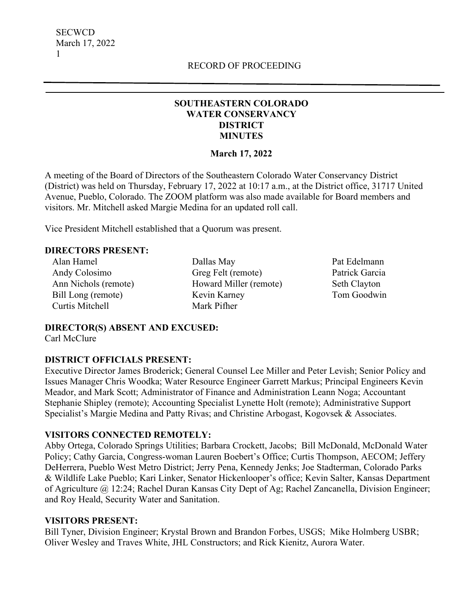#### **SOUTHEASTERN COLORADO WATER CONSERVANCY DISTRICT MINUTES**

#### **March 17, 2022**

A meeting of the Board of Directors of the Southeastern Colorado Water Conservancy District (District) was held on Thursday, February 17, 2022 at 10:17 a.m., at the District office, 31717 United Avenue, Pueblo, Colorado. The ZOOM platform was also made available for Board members and visitors. Mr. Mitchell asked Margie Medina for an updated roll call.

Vice President Mitchell established that a Quorum was present.

#### **DIRECTORS PRESENT:**

Alan Hamel Andy Colosimo Ann Nichols (remote) Bill Long (remote) Curtis Mitchell

Dallas May Greg Felt (remote) Howard Miller (remote) Kevin Karney Mark Pifher

Pat Edelmann Patrick Garcia Seth Clayton Tom Goodwin

## **DIRECTOR(S) ABSENT AND EXCUSED:**

Carl McClure

#### **DISTRICT OFFICIALS PRESENT:**

Executive Director James Broderick; General Counsel Lee Miller and Peter Levish; Senior Policy and Issues Manager Chris Woodka; Water Resource Engineer Garrett Markus; Principal Engineers Kevin Meador, and Mark Scott; Administrator of Finance and Administration Leann Noga; Accountant Stephanie Shipley (remote); Accounting Specialist Lynette Holt (remote); Administrative Support Specialist's Margie Medina and Patty Rivas; and Christine Arbogast, Kogovsek & Associates.

#### **VISITORS CONNECTED REMOTELY:**

Abby Ortega, Colorado Springs Utilities; Barbara Crockett, Jacobs; Bill McDonald, McDonald Water Policy; Cathy Garcia, Congress-woman Lauren Boebert's Office; Curtis Thompson, AECOM; Jeffery DeHerrera, Pueblo West Metro District; Jerry Pena, Kennedy Jenks; Joe Stadterman, Colorado Parks & Wildlife Lake Pueblo; Kari Linker, Senator Hickenlooper's office; Kevin Salter, Kansas Department of Agriculture @ 12:24; Rachel Duran Kansas City Dept of Ag; Rachel Zancanella, Division Engineer; and Roy Heald, Security Water and Sanitation.

#### **VISITORS PRESENT:**

Bill Tyner, Division Engineer; Krystal Brown and Brandon Forbes, USGS; Mike Holmberg USBR; Oliver Wesley and Traves White, JHL Constructors; and Rick Kienitz, Aurora Water.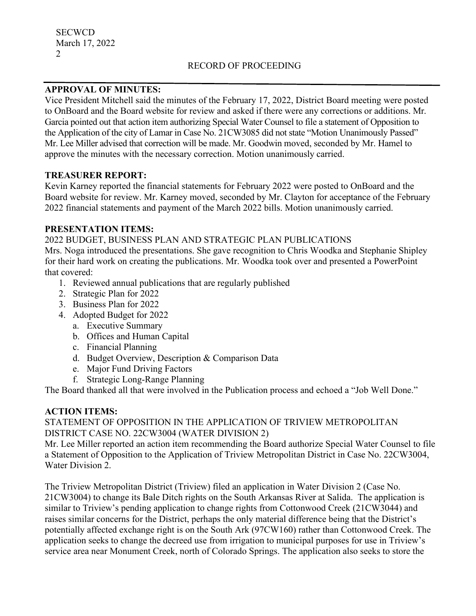#### **APPROVAL OF MINUTES:**

Vice President Mitchell said the minutes of the February 17, 2022, District Board meeting were posted to OnBoard and the Board website for review and asked if there were any corrections or additions. Mr. Garcia pointed out that action item authorizing Special Water Counsel to file a statement of Opposition to the Application of the city of Lamar in Case No. 21CW3085 did not state "Motion Unanimously Passed" Mr. Lee Miller advised that correction will be made. Mr. Goodwin moved, seconded by Mr. Hamel to approve the minutes with the necessary correction. Motion unanimously carried.

#### **TREASURER REPORT:**

Kevin Karney reported the financial statements for February 2022 were posted to OnBoard and the Board website for review. Mr. Karney moved, seconded by Mr. Clayton for acceptance of the February 2022 financial statements and payment of the March 2022 bills. Motion unanimously carried.

### **PRESENTATION ITEMS:**

2022 BUDGET, BUSINESS PLAN AND STRATEGIC PLAN PUBLICATIONS

Mrs. Noga introduced the presentations. She gave recognition to Chris Woodka and Stephanie Shipley for their hard work on creating the publications. Mr. Woodka took over and presented a PowerPoint that covered:

- 1. Reviewed annual publications that are regularly published
- 2. Strategic Plan for 2022
- 3. Business Plan for 2022
- 4. Adopted Budget for 2022
	- a. Executive Summary
	- b. Offices and Human Capital
	- c. Financial Planning
	- d. Budget Overview, Description & Comparison Data
	- e. Major Fund Driving Factors
	- f. Strategic Long-Range Planning

The Board thanked all that were involved in the Publication process and echoed a "Job Well Done."

#### **ACTION ITEMS:**

### STATEMENT OF OPPOSITION IN THE APPLICATION OF TRIVIEW METROPOLITAN DISTRICT CASE NO. 22CW3004 (WATER DIVISION 2)

Mr. Lee Miller reported an action item recommending the Board authorize Special Water Counsel to file a Statement of Opposition to the Application of Triview Metropolitan District in Case No. 22CW3004, Water Division 2.

The Triview Metropolitan District (Triview) filed an application in Water Division 2 (Case No. 21CW3004) to change its Bale Ditch rights on the South Arkansas River at Salida. The application is similar to Triview's pending application to change rights from Cottonwood Creek (21CW3044) and raises similar concerns for the District, perhaps the only material difference being that the District's potentially affected exchange right is on the South Ark (97CW160) rather than Cottonwood Creek. The application seeks to change the decreed use from irrigation to municipal purposes for use in Triview's service area near Monument Creek, north of Colorado Springs. The application also seeks to store the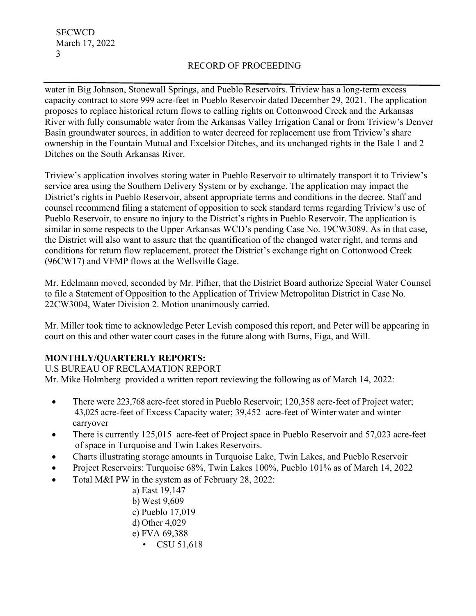water in Big Johnson, Stonewall Springs, and Pueblo Reservoirs. Triview has a long-term excess capacity contract to store 999 acre-feet in Pueblo Reservoir dated December 29, 2021. The application proposes to replace historical return flows to calling rights on Cottonwood Creek and the Arkansas River with fully consumable water from the Arkansas Valley Irrigation Canal or from Triview's Denver Basin groundwater sources, in addition to water decreed for replacement use from Triview's share ownership in the Fountain Mutual and Excelsior Ditches, and its unchanged rights in the Bale 1 and 2 Ditches on the South Arkansas River.

Triview's application involves storing water in Pueblo Reservoir to ultimately transport it to Triview's service area using the Southern Delivery System or by exchange. The application may impact the District's rights in Pueblo Reservoir, absent appropriate terms and conditions in the decree. Staff and counsel recommend filing a statement of opposition to seek standard terms regarding Triview's use of Pueblo Reservoir, to ensure no injury to the District's rights in Pueblo Reservoir. The application is similar in some respects to the Upper Arkansas WCD's pending Case No. 19CW3089. As in that case, the District will also want to assure that the quantification of the changed water right, and terms and conditions for return flow replacement, protect the District's exchange right on Cottonwood Creek (96CW17) and VFMP flows at the Wellsville Gage.

Mr. Edelmann moved, seconded by Mr. Pifher, that the District Board authorize Special Water Counsel to file a Statement of Opposition to the Application of Triview Metropolitan District in Case No. 22CW3004, Water Division 2. Motion unanimously carried.

Mr. Miller took time to acknowledge Peter Levish composed this report, and Peter will be appearing in court on this and other water court cases in the future along with Burns, Figa, and Will.

## **MONTHLY/QUARTERLY REPORTS:**

U.S BUREAU OF RECLAMATION REPORT Mr. Mike Holmberg provided a written report reviewing the following as of March 14, 2022:

- There were 223,768 acre-feet stored in Pueblo Reservoir; 120,358 acre-feet of Project water; 43,025 acre-feet of Excess Capacity water; 39,452 acre-feet of Winter water and winter carryover
- There is currently 125,015 acre-feet of Project space in Pueblo Reservoir and 57,023 acre-feet of space in Turquoise and Twin Lakes Reservoirs.
- Charts illustrating storage amounts in Turquoise Lake, Twin Lakes, and Pueblo Reservoir
- Project Reservoirs: Turquoise 68%, Twin Lakes 100%, Pueblo 101% as of March 14, 2022
- Total M&I PW in the system as of February 28, 2022:
	- a) East 19,147
	- b) West 9,609
	- c) Pueblo 17,019
	- d) Other 4,029
	- e) FVA 69,388
		- CSU 51,618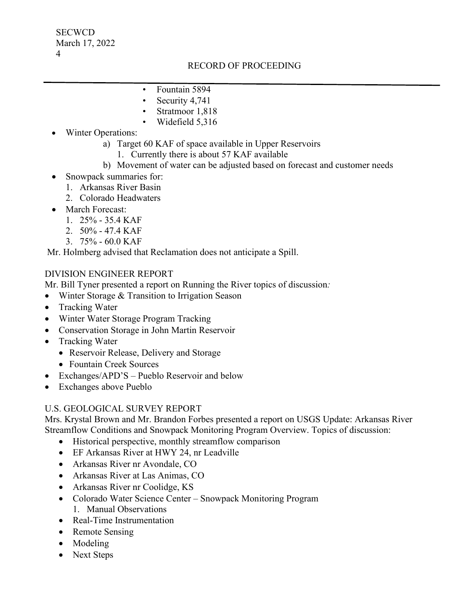- Fountain 5894
- Security 4,741
- Stratmoor 1,818
- Widefield 5,316
- Winter Operations:
	- a) Target 60 KAF of space available in Upper Reservoirs
		- 1. Currently there is about 57 KAF available
	- b) Movement of water can be adjusted based on forecast and customer needs
- Snowpack summaries for:
	- 1. Arkansas River Basin
	- 2. Colorado Headwaters
- March Forecast:
	- 1. 25% 35.4 KAF
	- 2. 50% 47.4 KAF
	- 3. 75% 60.0 KAF

Mr. Holmberg advised that Reclamation does not anticipate a Spill.

#### DIVISION ENGINEER REPORT

Mr. Bill Tyner presented a report on Running the River topics of discussion*:*

- Winter Storage & Transition to Irrigation Season
- Tracking Water
- Winter Water Storage Program Tracking
- Conservation Storage in John Martin Reservoir
- Tracking Water
	- Reservoir Release, Delivery and Storage
	- Fountain Creek Sources
- Exchanges/APD'S Pueblo Reservoir and below
- Exchanges above Pueblo

#### U.S. GEOLOGICAL SURVEY REPORT

Mrs. Krystal Brown and Mr. Brandon Forbes presented a report on USGS Update: Arkansas River Streamflow Conditions and Snowpack Monitoring Program Overview. Topics of discussion:

- Historical perspective, monthly streamflow comparison
- EF Arkansas River at HWY 24, nr Leadville
- Arkansas River nr Avondale, CO
- Arkansas River at Las Animas, CO
- Arkansas River nr Coolidge, KS
- Colorado Water Science Center Snowpack Monitoring Program 1. Manual Observations
- Real-Time Instrumentation
- Remote Sensing
- Modeling
- Next Steps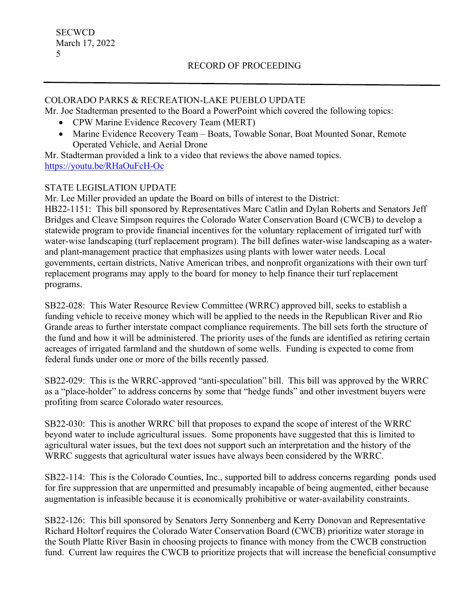#### COLORADO PARKS & RECREATION-LAKE PUEBLO UPDATE

Mr. Joe Stadterman presented to the Board a PowerPoint which covered the following topics:

- CPW Marine Evidence Recovery Team (MERT)
- Marine Evidence Recovery Team Boats, Towable Sonar, Boat Mounted Sonar, Remote Operated Vehicle, and Aerial Drone

Mr. Stadterman provided a link to a video that reviews the above named topics. <https://youtu.be/RHaOuFcH-Oc>

### STATE LEGISLATION UPDATE

Mr. Lee Miller provided an update the Board on bills of interest to the District: HB22-1151: This bill sponsored by Representatives Marc Catlin and Dylan Roberts and Senators Jeff Bridges and Cleave Simpson requires the Colorado Water Conservation Board (CWCB) to develop a statewide program to provide financial incentives for the voluntary replacement of irrigated turf with water-wise landscaping (turf replacement program). The bill defines water-wise landscaping as a waterand plant-management practice that emphasizes using plants with lower water needs. Local governments, certain districts, Native American tribes, and nonprofit organizations with their own turf replacement programs may apply to the board for money to help finance their turf replacement programs.

SB22-028: This Water Resource Review Committee (WRRC) approved bill, seeks to establish a funding vehicle to receive money which will be applied to the needs in the Republican River and Rio Grande areas to further interstate compact compliance requirements. The bill sets forth the structure of the fund and how it will be administered. The priority uses of the funds are identified as retiring certain acreages of irrigated farmland and the shutdown of some wells. Funding is expected to come from federal funds under one or more of the bills recently passed.

SB22-029: This is the WRRC-approved "anti-speculation" bill. This bill was approved by the WRRC as a "place-holder" to address concerns by some that "hedge funds" and other investment buyers were profiting from scarce Colorado water resources.

SB22-030: This is another WRRC bill that proposes to expand the scope of interest of the WRRC beyond water to include agricultural issues. Some proponents have suggested that this is limited to agricultural water issues, but the text does not support such an interpretation and the history of the WRRC suggests that agricultural water issues have always been considered by the WRRC.

SB22-114: This is the Colorado Counties, Inc., supported bill to address concerns regarding ponds used for fire suppression that are unpermitted and presumably incapable of being augmented, either because augmentation is infeasible because it is economically prohibitive or water-availability constraints.

SB22-126: This bill sponsored by Senators Jerry Sonnenberg and Kerry Donovan and Representative Richard Holtorf requires the Colorado Water Conservation Board (CWCB) prioritize water storage in the South Platte River Basin in choosing projects to finance with money from the CWCB construction fund. Current law requires the CWCB to prioritize projects that will increase the beneficial consumptive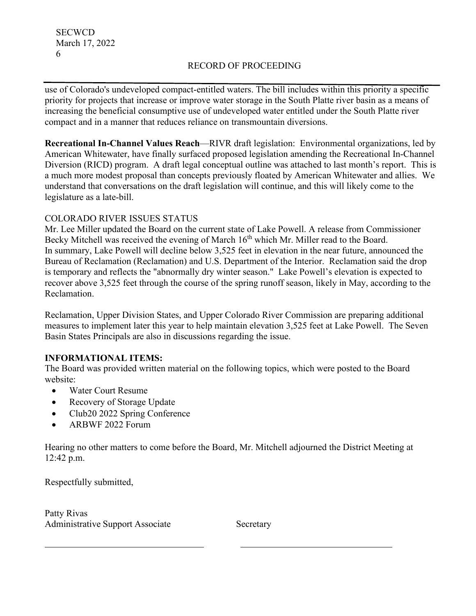use of Colorado's undeveloped compact-entitled waters. The bill includes within this priority a specific priority for projects that increase or improve water storage in the South Platte river basin as a means of increasing the beneficial consumptive use of undeveloped water entitled under the South Platte river compact and in a manner that reduces reliance on transmountain diversions.

**Recreational In-Channel Values Reach**—RIVR draft legislation: Environmental organizations, led by American Whitewater, have finally surfaced proposed legislation amending the Recreational In-Channel Diversion (RICD) program. A draft legal conceptual outline was attached to last month's report. This is a much more modest proposal than concepts previously floated by American Whitewater and allies. We understand that conversations on the draft legislation will continue, and this will likely come to the legislature as a late-bill.

### COLORADO RIVER ISSUES STATUS

Mr. Lee Miller updated the Board on the current state of Lake Powell. A release from Commissioner Becky Mitchell was received the evening of March 16<sup>th</sup> which Mr. Miller read to the Board. In summary, Lake Powell will decline below 3,525 feet in elevation in the near future, announced the Bureau of Reclamation (Reclamation) and U.S. Department of the Interior. Reclamation said the drop is temporary and reflects the "abnormally dry winter season." Lake Powell's elevation is expected to recover above 3,525 feet through the course of the spring runoff season, likely in May, according to the Reclamation.

Reclamation, Upper Division States, and Upper Colorado River Commission are preparing additional measures to implement later this year to help maintain elevation 3,525 feet at Lake Powell. The Seven Basin States Principals are also in discussions regarding the issue.

## **INFORMATIONAL ITEMS:**

The Board was provided written material on the following topics, which were posted to the Board website:

- Water Court Resume
- Recovery of Storage Update
- Club20 2022 Spring Conference
- ARBWF 2022 Forum

Hearing no other matters to come before the Board, Mr. Mitchell adjourned the District Meeting at 12:42 p.m.

Respectfully submitted,

Patty Rivas Administrative Support Associate Secretary